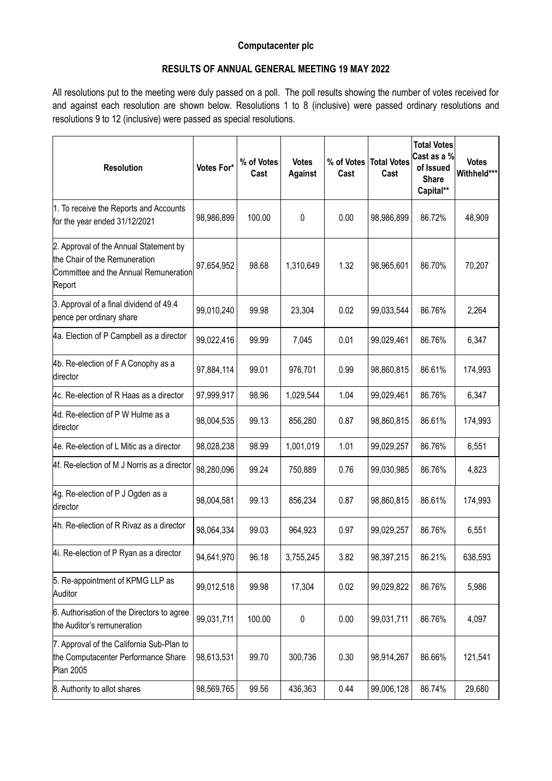## **Computacenter plc**

## **RESULTS OF ANNUAL GENERAL MEETING 19 MAY 2022**

All resolutions put to the meeting were duly passed on a poll. The poll results showing the number of votes received for and against each resolution are shown below. Resolutions 1 to 8 (inclusive) were passed ordinary resolutions and resolutions 9 to 12 (inclusive) were passed as special resolutions.

| <b>Resolution</b>                                                                                                          | Votes For* | % of Votes<br>Cast | <b>Votes</b><br><b>Against</b> | % of Votes<br>Cast | <b>Total Votes</b><br>Cast | <b>Total Votes</b><br>Cast as a %<br>of Issued<br><b>Share</b><br>Capital** | <b>Votes</b><br>Withheld*** |
|----------------------------------------------------------------------------------------------------------------------------|------------|--------------------|--------------------------------|--------------------|----------------------------|-----------------------------------------------------------------------------|-----------------------------|
| 1. To receive the Reports and Accounts<br>for the year ended 31/12/2021                                                    | 98,986,899 | 100.00             | 0                              | 0.00               | 98,986,899                 | 86.72%                                                                      | 48,909                      |
| 2. Approval of the Annual Statement by<br>the Chair of the Remuneration<br>Committee and the Annual Remuneration<br>Report | 97,654,952 | 98.68              | 1,310,649                      | 1.32               | 98,965,601                 | 86.70%                                                                      | 70,207                      |
| 3. Approval of a final dividend of 49.4<br>pence per ordinary share                                                        | 99,010,240 | 99.98              | 23,304                         | 0.02               | 99,033,544                 | 86.76%                                                                      | 2,264                       |
| 4a. Election of P Campbell as a director                                                                                   | 99,022,416 | 99.99              | 7,045                          | 0.01               | 99,029,461                 | 86.76%                                                                      | 6,347                       |
| 4b. Re-election of F A Conophy as a<br>director                                                                            | 97,884,114 | 99.01              | 976,701                        | 0.99               | 98,860,815                 | 86.61%                                                                      | 174,993                     |
| 4c. Re-election of R Haas as a director                                                                                    | 97,999,917 | 98.96              | 1,029,544                      | 1.04               | 99,029,461                 | 86.76%                                                                      | 6,347                       |
| 4d. Re-election of P W Hulme as a<br>director                                                                              | 98,004,535 | 99.13              | 856,280                        | 0.87               | 98,860,815                 | 86.61%                                                                      | 174,993                     |
| 4e. Re-election of L Mitic as a director                                                                                   | 98,028,238 | 98.99              | 1,001,019                      | 1.01               | 99,029,257                 | 86.76%                                                                      | 6,551                       |
| 4f. Re-election of M J Norris as a director                                                                                | 98,280,096 | 99.24              | 750,889                        | 0.76               | 99,030,985                 | 86.76%                                                                      | 4,823                       |
| 4g. Re-election of P J Ogden as a<br>director                                                                              | 98,004,581 | 99.13              | 856,234                        | 0.87               | 98,860,815                 | 86.61%                                                                      | 174,993                     |
| 4h. Re-election of R Rivaz as a director                                                                                   | 98,064,334 | 99.03              | 964,923                        | 0.97               | 99,029,257                 | 86.76%                                                                      | 6,551                       |
| 4i. Re-election of P Ryan as a director                                                                                    | 94,641,970 | 96.18              | 3,755,245                      | 3.82               | 98,397,215                 | 86.21%                                                                      | 638,593                     |
| 5. Re-appointment of KPMG LLP as<br>Auditor                                                                                | 99,012,518 | 99.98              | 17,304                         | 0.02               | 99,029,822                 | 86.76%                                                                      | 5,986                       |
| 6. Authorisation of the Directors to agree<br>the Auditor's remuneration                                                   | 99,031,711 | 100.00             | 0                              | 0.00               | 99,031,711                 | 86.76%                                                                      | 4,097                       |
| 7. Approval of the California Sub-Plan to<br>the Computacenter Performance Share<br><b>Plan 2005</b>                       | 98,613,531 | 99.70              | 300,736                        | 0.30               | 98,914,267                 | 86.66%                                                                      | 121,541                     |
| 8. Authority to allot shares                                                                                               | 98,569,765 | 99.56              | 436,363                        | 0.44               | 99,006,128                 | 86.74%                                                                      | 29,680                      |